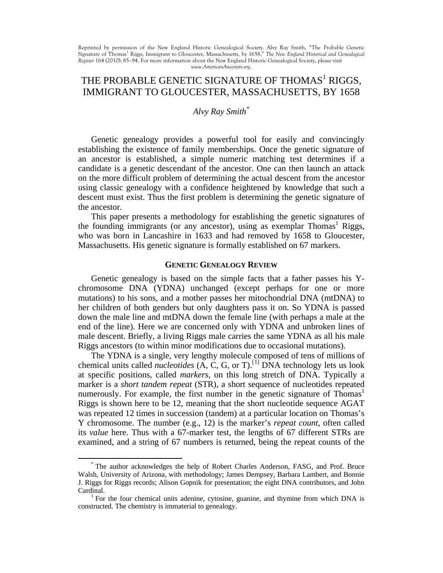Reprinted by permission of the New England Historic Genealogical Society. Alvy Ray Smith, "The Probable Genetic<br>Signature of Thomas<sup>1</sup> Riggs, Immigrant to Gloucester, Massachusetts, by 1658," Th*e New England Historical an Register* 164 (2010): 85–94. For more information about the New England Historic Genealogical Society, please visit *[www.AmericanAncestors.org](http://www.americanancestors.org/)*.

# THE PROBABLE GENETIC SIGNATURE OF THOMAS<sup>1</sup> RIGGS, IMMIGRANT TO GLOUCESTER, MASSACHUSETTS, BY 1658

## *Alvy Ray Smith*[\\*](#page-0-0)

Genetic genealogy provides a powerful tool for easily and convincingly establishing the existence of family memberships. Once the genetic signature of an ancestor is established, a simple numeric matching test determines if a candidate is a genetic descendant of the ancestor. One can then launch an attack on the more difficult problem of determining the actual descent from the ancestor using classic genealogy with a confidence heightened by knowledge that such a descent must exist. Thus the first problem is determining the genetic signature of the ancestor.

This paper presents a methodology for establishing the genetic signatures of the founding immigrants (or any ancestor), using as exemplar  $Thomas<sup>1</sup> Riggs$ , who was born in Lancashire in 1633 and had removed by 1658 to Gloucester, Massachusetts. His genetic signature is formally established on 67 markers.

### **GENETIC GENEALOGY REVIEW**

Genetic genealogy is based on the simple facts that a father passes his Ychromosome DNA (YDNA) unchanged (except perhaps for one or more mutations) to his sons, and a mother passes her mitochondrial DNA (mtDNA) to her children of both genders but only daughters pass it on. So YDNA is passed down the male line and mtDNA down the female line (with perhaps a male at the end of the line). Here we are concerned only with YDNA and unbroken lines of male descent. Briefly, a living Riggs male carries the same YDNA as all his male Riggs ancestors (to within minor modifications due to occasional mutations).

The YDNA is a single, very lengthy molecule composed of tens of millions of chemical units called *nucleotides* (A, C, G, or T). [[1\]](#page-0-1) DNA technology lets us look at specific positions, called *markers*, on this long stretch of DNA. Typically a marker is a *short tandem repeat* (STR), a short sequence of nucleotides repeated numerously. For example, the first number in the genetic signature of  $Thomas<sup>1</sup>$ Riggs is shown here to be 12, meaning that the short nucleotide sequence AGAT was repeated 12 times in succession (tandem) at a particular location on Thomas's Y chromosome. The number (e.g., 12) is the marker's *repeat count*, often called its *value* here. Thus with a 67-marker test, the lengths of 67 different STRs are examined, and a string of 67 numbers is returned, being the repeat counts of the

<span id="page-0-2"></span><span id="page-0-0"></span> <sup>\*</sup> The author acknowledges the help of Robert Charles Anderson, FASG, and Prof. Bruce Walsh, University of Arizona, with methodology; James Dempsey, Barbara Lambert, and Bonnie J. Riggs for Riggs records; Alison Gopnik for presentation; the eight DNA contributors, and John

<span id="page-0-1"></span><sup>&</sup>lt;sup>1</sup> For the four chemical units adenine, cytosine, guanine, and thymine from which DNA is constructed. The chemistry is immaterial to genealogy.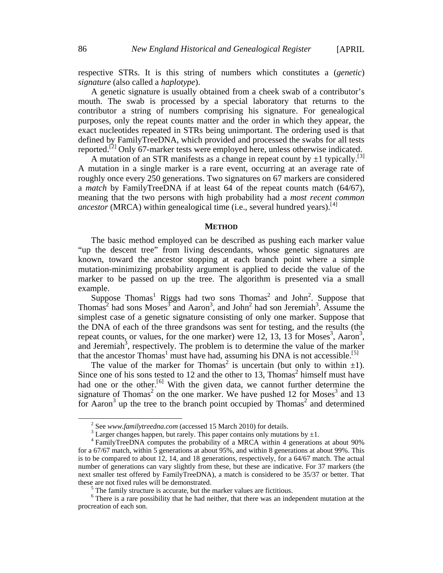respective STRs. It is this string of numbers which constitutes a (*genetic*) *signature* (also called a *haplotype*).

A genetic signature is usually obtained from a cheek swab of a contributor's mouth. The swab is processed by a special laboratory that returns to the contributor a string of numbers comprising his signature. For genealogical purposes, only the repeat counts matter and the order in which they appear, the exact nucleotides repeated in STRs being unimportant. The ordering used is that defined by FamilyTreeDNA, which provided and processed the swabs for all tests reported.<sup>[[2](#page-0-2)]</sup> Only 67-marker tests were employed here, unless otherwise indicated.

A mutation of an STR manifests as a change in repeat count by  $\pm 1$  typically.<sup>[[3](#page-1-0)]</sup> A mutation in a single marker is a rare event, occurring at an average rate of roughly once every 250 generations. Two signatures on 67 markers are considered a *match* by FamilyTreeDNA if at least 64 of the repeat counts match (64/67), meaning that the two persons with high probability had a *most recent common ancestor* (MRCA) within genealogical time (i.e., several hundred years).<sup>[[4\]](#page-1-1)</sup>

#### **METHOD**

The basic method employed can be described as pushing each marker value "up the descent tree" from living descendants, whose genetic signatures are known, toward the ancestor stopping at each branch point where a simple mutation-minimizing probability argument is applied to decide the value of the marker to be passed on up the tree. The algorithm is presented via a small example.

Suppose Thomas<sup>1</sup> Riggs had two sons Thomas<sup>2</sup> and John<sup>2</sup>. Suppose that Thomas<sup>2</sup> had sons Moses<sup>3</sup> and Aaron<sup>3</sup>, and John<sup>2</sup> had son Jeremiah<sup>3</sup>. Assume the simplest case of a genetic signature consisting of only one marker. Suppose that the DNA of each of the three grandsons was sent for testing, and the results (the repeat counts, or values, for the one marker) were 12, 13, 13 for Moses<sup>3</sup>, Aaron<sup>3</sup>, and Jeremiah<sup>3</sup>, respectively. The problem is to determine the value of the marker that the ancestor Thomas<sup>1</sup> must have had, assuming his DNA is not accessible.<sup>[[5](#page-1-2)]</sup>

The value of the marker for Thomas<sup>2</sup> is uncertain (but only to within  $\pm 1$ ). Since one of his sons tested to 12 and the other to 13, Thomas <sup>2</sup> himself must have had one or the other.<sup>[[6\]](#page-1-3)</sup> With the given data, we cannot further determine the signature of Thomas<sup>2</sup> on the one marker. We have pushed 12 for Moses<sup>3</sup> and 13 for Aaron<sup>3</sup> up the tree to the branch point occupied by Thomas<sup>2</sup> and determined

<span id="page-1-4"></span><span id="page-1-1"></span><span id="page-1-0"></span><sup>&</sup>lt;sup>2</sup> See www.familytreedna.com (accessed 15 March 2010) for details.<br><sup>3</sup> Larger changes happen, but rarely. This paper contains only mutations by  $\pm 1$ .<br><sup>4</sup> FamilyTreeDNA computes the probability of a MRCA within 4 genera for a 67/67 match, within 5 generations at about 95%, and within 8 generations at about 99%. This is to be compared to about 12, 14, and 18 generations, respectively, for a 64/67 match. The actual number of generations can vary slightly from these, but these are indicative. For 37 markers (the next smaller test offered by FamilyTreeDNA), a match is considered to be 35/37 or better. That these are not fixed rules will be demonstrated.

 $5$  The family structure is accurate, but the marker values are fictitious.

<span id="page-1-3"></span><span id="page-1-2"></span><sup>&</sup>lt;sup>6</sup> There is a rare possibility that he had neither, that there was an independent mutation at the procreation of each son.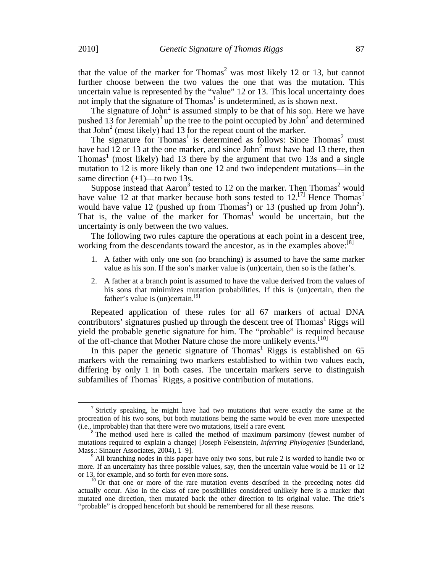that the value of the marker for Thomas<sup>2</sup> was most likely 12 or 13, but cannot further choose between the two values the one that was the mutation. This uncertain value is represented by the "value" 12 or 13. This local uncertainty does not imply that the signature of  $Thomas<sup>1</sup>$  is undetermined, as is shown next.

The signature of John<sup>2</sup> is assumed simply to be that of his son. Here we have pushed 13 for Jeremiah<sup>3</sup> up the tree to the point occupied by John<sup>2</sup> and determined that John<sup>2</sup> (most likely) had 13 for the repeat count of the marker.

The signature for Thomas<sup>1</sup> is determined as follows: Since Thomas<sup>2</sup> must have had 12 or 13 at the one marker, and since  $John<sup>2</sup>$  must have had 13 there, then Thomas<sup>1</sup> (most likely) had 13 there by the argument that two 13s and a single mutation to 12 is more likely than one 12 and two independent mutations—in the same direction  $(+1)$ —to two 13s.

Suppose instead that Aaron<sup>3</sup> tested to 12 on the marker. Then Thomas<sup>2</sup> would have value 12 at that marker because both sons tested to  $12$ <sup>[[7](#page-1-4)]</sup> Hence Thomas<sup>1</sup> would have value 12 (pushed up from Thomas<sup>2</sup>) or 13 (pushed up from John<sup>2</sup>). That is, the value of the marker for Thomas<sup>1</sup> would be uncertain, but the uncertainty is only between the two values.

The following two rules capture the operations at each point in a descent tree, working from the descendants toward the ancestor, as in the examples above:<sup>[[8](#page-2-0)]</sup>

- 1. A father with only one son (no branching) is assumed to have the same marker value as his son. If the son's marker value is (un)certain, then so is the father's.
- 2. A father at a branch point is assumed to have the value derived from the values of his sons that minimizes mutation probabilities. If this is (un)certain, then the father's value is (un)certain.<sup>[[9](#page-2-1)]</sup>

Repeated application of these rules for all 67 markers of actual DNA contributors' signatures pushed up through the descent tree of  $Thomas<sup>1</sup> Riggs will$ yield the probable genetic signature for him. The "probable" is required because of the off-chance that Mother Nature chose the more unlikely events.<sup>[[10\]](#page-2-2)</sup>

In this paper the genetic signature of Thomas<sup>1</sup> Riggs is established on  $65$ markers with the remaining two markers established to within two values each, differing by only 1 in both cases. The uncertain markers serve to distinguish subfamilies of Thomas<sup>1</sup> Riggs, a positive contribution of mutations.

<sup>&</sup>lt;sup>7</sup> Strictly speaking, he might have had two mutations that were exactly the same at the procreation of his two sons, but both mutations being the same would be even more unexpected (i.e., improbable) than that there were two mutations, itself a rare event.

<span id="page-2-3"></span><span id="page-2-0"></span> $\delta$  The method used here is called the method of maximum parsimony (fewest number of mutations required to explain a change) [Joseph Felsenstein, *Inferring Phylogenies* (Sunderland, Mass.: Sinauer Associates, 2004), 1–9].<br><sup>9</sup> All branching nodes in this paper have only two sons, but rule 2 is worded to handle two or

<span id="page-2-1"></span>more. If an uncertainty has three possible values, say, then the uncertain value would be 11 or 12 or 13, for example, and so forth for even more sons.<br><sup>10</sup> Or that one or more of the rare mutation events described in the preceding notes did

<span id="page-2-2"></span>actually occur. Also in the class of rare possibilities considered unlikely here is a marker that mutated one direction, then mutated back the other direction to its original value. The title's "probable" is dropped henceforth but should be remembered for all these reasons.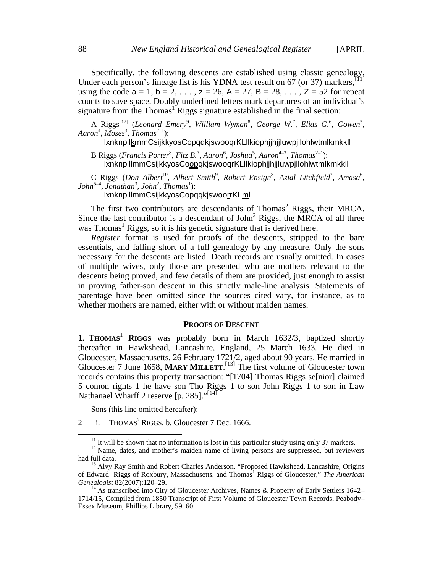Specifically, the following descents are established using classic genealogy. Under each person's lineage list is his YDNA test result on 67 (or 37) markers,<sup>[[11](#page-2-3)]</sup> using the code  $a = 1$ ,  $b = 2, \ldots$ ,  $z = 26$ ,  $A = 27$ ,  $B = 28, \ldots$ ,  $Z = 52$  for repeat counts to save space. Doubly underlined letters mark departures of an individual's signature from the Thomas<sup>1</sup> Riggs signature established in the final section:

A Riggs<sup>[[12\]](#page-3-0)</sup> (Leonard Emery<sup>9</sup>, William Wyman<sup>8</sup>, George W.<sup>7</sup>, Elias G.<sup>6</sup>, Gowen<sup>5</sup>, Aaron<sup>4</sup>, Moses<sup>3</sup>, Thomas<sup>2-1</sup>):

lxnknpllkmmCsijkkyosCopqqkjswooqrKLllkiophjjhjjluwpjllohlwtmlkmkkll

B Riggs (*Francis Porter<sup>8</sup>, Fitz B.<sup>7</sup>, Aaron<sup>6</sup>, Joshua<sup>5</sup>, Aaron<sup>4–3</sup>, Thomas<sup>2–1</sup>):* lxnknplllmmCsijkkyosCoopqkjswooqrKLllkiophjjhjjluwpjllohlwtmlkmkkll

C Riggs (Don Albert<sup>10</sup>, Albert Smith<sup>9</sup>, Robert Ensign<sup>8</sup>, Azial Litchfield<sup>7</sup>, Amasa<sup>6</sup>,  $John<sup>5-4</sup>, Jonathan<sup>3</sup>, John<sup>2</sup>, Thomas<sup>1</sup>)$ : lxnknplllmmCsijkkyosCopqqkjswoorrKLml

The first two contributors are descendants of Thomas<sup>2</sup> Riggs, their MRCA. Since the last contributor is a descendant of  $John<sup>2</sup> Riggs$ , the MRCA of all three was Thomas<sup>1</sup> Riggs, so it is his genetic signature that is derived here.

*Register* format is used for proofs of the descents, stripped to the bare essentials, and falling short of a full genealogy by any measure. Only the sons necessary for the descents are listed. Death records are usually omitted. In cases of multiple wives, only those are presented who are mothers relevant to the descents being proved, and few details of them are provided, just enough to assist in proving father-son descent in this strictly male-line analysis. Statements of parentage have been omitted since the sources cited vary, for instance, as to whether mothers are named, either with or without maiden names.

#### **PROOFS OF DESCENT**

**1. THOMAS**<sup>1</sup> **RIGGS** was probably born in March 1632/3, baptized shortly thereafter in Hawkshead, Lancashire, England, 25 March 1633. He died in Gloucester, Massachusetts, 26 February 1721/2, aged about 90 years. He married in Gloucester 7 June 1658, **MARY MILLETT**. [[13](#page-3-1)] The first volume of Gloucester town records contains this property transaction: "[1704] Thomas Riggs se[nior] claimed 5 comon rights 1 he have son Tho Riggs 1 to son John Riggs 1 to son in Law Nathanael Wharff 2 reserve [p. 285]."<sup>[[14\]](#page-3-2)</sup>

Sons (this line omitted hereafter):

<span id="page-3-3"></span>2 i. THOMAS<sup>2</sup> RIGGS, b. Gloucester 7 Dec. 1666.

<span id="page-3-0"></span><sup>&</sup>lt;sup>11</sup> It will be shown that no information is lost in this particular study using only 37 markers.  $12$  Name, dates, and mother's maiden name of living persons are suppressed, but reviewers had full data.<br><sup>13</sup> Alvy Ray Smith and Robert Charles Anderson, "Proposed Hawkshead, Lancashire, Origins

<span id="page-3-1"></span>of Edward<sup>1</sup> Riggs of Roxbury, Massachusetts, and Thomas<sup>1</sup> Riggs of Gloucester," *The American Genealogist* 82(2007):120–29.

<span id="page-3-2"></span><sup>&</sup>lt;sup>14</sup> As transcribed into City of Gloucester Archives, Names & Property of Early Settlers 1642– 1714/15, Compiled from 1850 Transcript of First Volume of Gloucester Town Records, Peabody– Essex Museum, Phillips Library, 59–60.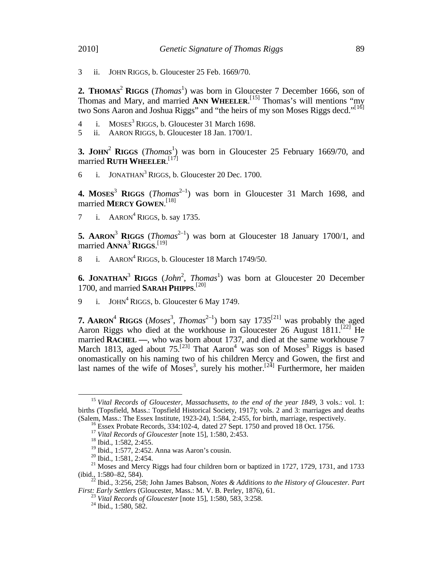3 ii. JOHN RIGGS, b. Gloucester 25 Feb. 1669/70.

**2. THOMAS<sup>2</sup> RIGGS** (*Thomas*<sup>1</sup>) was born in Gloucester 7 December 1666, son of Thomas and Mary, and married **ANN WHEELER.**<sup>[\[15\]](#page-3-3)</sup> Thomas's will mentions "my two Sons Aaron and Joshua Riggs" and "the heirs of my son Moses Riggs decd."<sup>[[16](#page-4-0)]</sup>

- 4 i. MOSES<sup>3</sup> RIGGS, b. Gloucester 31 March 1698.
- 5 ii. AARON RIGGS, b. Gloucester 18 Jan. 1700/1.

**3. JOHN<sup>2</sup> RIGGS** (*Thomas*<sup>1</sup>) was born in Gloucester 25 February 1669/70, and married **RUTH WHEELER**. [[17\]](#page-4-1)

6 i. JONATHAN<sup>3</sup> RIGGS, b. Gloucester 20 Dec. 1700.

**4.** MOSES<sup>3</sup> RIGGS (*Thomas*<sup>2-1</sup>) was born in Gloucester 31 March 1698, and married **MERCY GOWEN**. [[18](#page-4-2)]

7 i.  $AARON<sup>4</sup> RIGGS$ , b. say 1735.

**5. AARON**<sup>3</sup> **RIGGS** (*Thomas*<sup>2-1</sup>) was born at Gloucester 18 January 1700/1, and married **ANNA**<sup>3</sup> **RIGGS**. [[19](#page-4-3)]

8 i. AARON<sup>4</sup> RIGGS, b. Gloucester 18 March 1749/50.

**6. JONATHAN**<sup>3</sup> **RIGGS** (*John*<sup>2</sup>, *Thomas*<sup>1</sup>) was born at Gloucester 20 December 1700, and married **SARAH PHIPPS**. [[20\]](#page-4-4)

9 i. JOHN<sup>4</sup> RIGGS, b. Gloucester 6 May 1749.

**7. AARON**<sup>4</sup> **RIGGS** (*Moses*<sup>3</sup>, *Thomas*<sup>2-1</sup>) born say 1735<sup>[[21\]](#page-4-5)</sup> was probably the aged Aaron Riggs who died at the workhouse in Gloucester 26 August  $1811$ <sup>[[22](#page-4-6)]</sup> He married **RACHEL —**, who was born about 1737, and died at the same workhouse 7 March 1813, aged about  $75$ <sup>[[23\]](#page-4-7)</sup> That Aaron<sup>4</sup> was son of Moses<sup>3</sup> Riggs is based onomastically on his naming two of his children Mercy and Gowen, the first and last names of the wife of Moses<sup>3</sup>, surely his mother.<sup>[[24\]](#page-4-8)</sup> Furthermore, her maiden

<span id="page-4-9"></span><span id="page-4-0"></span><sup>&</sup>lt;sup>15</sup> Vital Records of Gloucester, Massachusetts, to the end of the year 1849, 3 vols.: vol. 1: births (Topsfield, Mass.: Topsfield Historical Society, 1917); vols. 2 and 3: marriages and deaths (Salem, Mass.: The Essex Institute, 1923-24), 1:584, 2:455, for birth, marriage, respectively.

<sup>&</sup>lt;sup>16</sup> Essex Probate Records, 334:102-4, dated 27 Sept. 1750 and proved 18 Oct. 1756.<br><sup>17</sup> Vital Records of Gloucester [note 15], 1:580, 2:453.<br><sup>18</sup> Ibid., 1:582, 2:455.<br><sup>19</sup> Ibid., 1:577, 2:452. Anna was Aaron's cousin.

<span id="page-4-5"></span><span id="page-4-4"></span><span id="page-4-3"></span><span id="page-4-2"></span><span id="page-4-1"></span><sup>&</sup>lt;sup>20</sup> Ibid., 1:581, 2:454.<br><sup>21</sup> Moses and Mercy Riggs had four children born or baptized in 1727, 1729, 1731, and 1733<br>(ibid., 1:580–82, 584).

<span id="page-4-8"></span><span id="page-4-7"></span><span id="page-4-6"></span><sup>&</sup>lt;sup>22</sup> Ibid., 3:256, 258; John James Babson, *Notes & Additions to the History of Gloucester. Part First: Early Settlers* (Gloucester, Mass.: M. V. B. Perley, 1876), 61.

<sup>&</sup>lt;sup>23</sup> *Vital Records of Gloucester* [note 15], 1:580, 583, 3:258.<br><sup>24</sup> Ibid., 1:580, 582.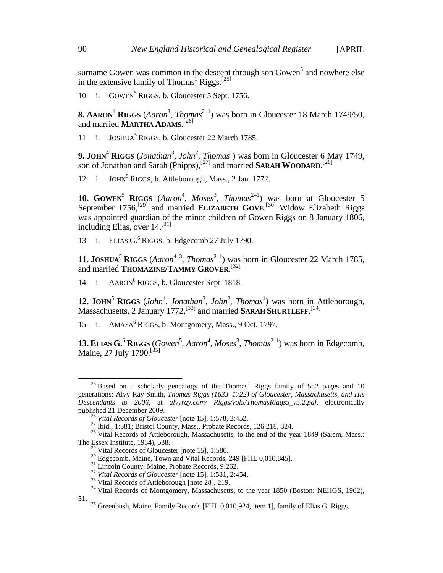surname Gowen was common in the descent through son Gowen<sup>5</sup> and nowhere else in the extensive family of Thomas<sup>1</sup> Riggs.<sup>[[25](#page-4-9)]</sup>

10 i. GOWEN<sup>5</sup> RIGGS, b. Gloucester 5 Sept. 1756.

**8. AARON<sup>4</sup> RIGGS** (*Aaron*<sup>3</sup>, *Thomas*<sup>2-1</sup>) was born in Gloucester 18 March 1749/50, and married **MARTHA ADAMS**. [[26\]](#page-5-0)

11 i. JOSHUA<sup>5</sup> RIGGS, b. Gloucester 22 March 1785.

**9. JOHN<sup>4</sup> RIGGS** (*Jonathan<sup>3</sup>, John<sup>2</sup>, Thomas<sup>1</sup>*) was born in Gloucester 6 May 1749, son of Jonathan and Sarah (Phipps),<sup>[[27](#page-5-1)]</sup> and married SARAH WOODARD.<sup>[[28](#page-5-2)]</sup>

12 i. JOHN<sup>5</sup> RIGGS, b. Attleborough, Mass., 2 Jan. 1772.

**10. GOWEN<sup>5</sup> RIGGS** (*Aaron<sup>4</sup>*, *Moses*<sup>3</sup>, *Thomas*<sup>2-1</sup>) was born at Gloucester 5 September 1756,<sup>[[29](#page-5-3)]</sup> and married **ELIZABETH GOVE**.<sup>[[30\]](#page-5-4)</sup> Widow Elizabeth Riggs was appointed guardian of the minor children of Gowen Riggs on 8 January 1806, including Elias, over 14.<sup>[[31](#page-5-5)]</sup>

13 i. ELIAS  $G^6$  RIGGS, b. Edgecomb 27 July 1790.

**11. JOSHUA<sup>5</sup> RIGGS** ( $Aaron^{4-3}$ ,  $Thomas^{2-1}$ ) was born in Gloucester 22 March 1785, and married **THOMAZINE/TAMMY GROVER**. [[32](#page-5-6)]

14 i. AARON<sup>6</sup> RIGGS, b. Gloucester Sept. 1818.

**12. JOHN<sup>5</sup> RIGGS** (*John<sup>4</sup>*, *Jonathan<sup>3</sup>, <i>John<sup>2</sup>*, *Thomas*<sup>1</sup>) was born in Attleborough, Massachusetts, 2 January 1772,<sup>[[33\]](#page-5-7)</sup> and married SARAH SHURTLEFF.<sup>[[34\]](#page-5-8)</sup>

15 i. AMASA<sup>6</sup> RIGGS, b. Montgomery, Mass., 9 Oct. 1797.

**13. ELIAS G.<sup>6</sup> RIGGS** (*Gowen*<sup>5</sup>, *Aaron*<sup>4</sup>, *Moses*<sup>3</sup>, *Thomas*<sup>2-1</sup>) was born in Edgecomb, Maine, 27 July 1790.<sup>[[35\]](#page-5-9)</sup>

 $25$  Based on a scholarly genealogy of the Thomas<sup>1</sup> Riggs family of 552 pages and 10 generations: Alvy Ray Smith, *Thomas Riggs (1633–1722) of Gloucester, Massachusetts, and His Descendants to 2006*, at *alvyray.com/ Riggs/vol5/ThomasRiggs5\_v5.2.pdf*, electronically published 21 December 2009.<br><sup>26</sup> *Vital Records of Gloucester* [note 15], 1:578, 2:452.<br><sup>27</sup> Ibid., 1:581; Bristol County, Mass., Probate Records, 126:218, 324.<br><sup>28</sup> Vital Records of Attleborough, Massachusetts, to the end

<span id="page-5-5"></span><span id="page-5-4"></span><span id="page-5-3"></span><span id="page-5-2"></span><span id="page-5-1"></span><span id="page-5-0"></span>The Essex Institute, 1934), 538.<br><sup>29</sup> Vital Records of Gloucester [note 15], 1:580.

<sup>&</sup>lt;sup>30</sup> Edgecomb, Maine, Town and Vital Records, 249 [FHL 0,010,845].<br><sup>31</sup> Lincoln County, Maine, Probate Records, 9:262.<br><sup>32</sup> Vital Records of Gloucester [note 15], 1:581, 2:454.<br><sup>33</sup> Vital Records of Attleborough [note 28]

<span id="page-5-9"></span><span id="page-5-8"></span><span id="page-5-7"></span><span id="page-5-6"></span><sup>51.</sup> <sup>35</sup> Greenbush, Maine, Family Records [FHL 0,010,924, item 1], family of Elias G. Riggs.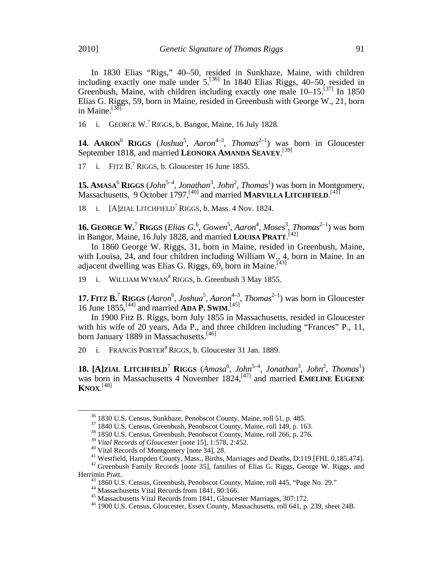In 1830 Elias "Rigs," 40–50, resided in Sunkhaze, Maine, with children including exactly one male under  $5.^{[36]}$  $5.^{[36]}$  $5.^{[36]}$  In 1840 Elias Riggs, 40–50, resided in Greenbush, Maine, with children including exactly one male  $10-15$ <sup>[[37](#page-6-0)]</sup> In 1850 Elias G. Riggs, 59, born in Maine, resided in Greenbush with George W., 21, born in Maine.<sup>[[38](#page-6-1)]</sup>

16 i. GEORGE W.<sup>7</sup> RIGGS, b. Bangor, Maine, 16 July 1828.

**14. AARON**<sup>6</sup> **RIGGS** (*Joshua*<sup>5</sup>, *Aaron*<sup>4-3</sup>, *Thomas*<sup>2-1</sup>) was born in Gloucester September 1818, and married LEONORA AMANDA SEAVEY.<sup>[\[39\]](#page-6-2)</sup>

17 i. FITZ  $B$ .<sup>7</sup> RIGGS, b. Gloucester 16 June 1855.

**15. AMASA<sup>6</sup> RIGGS** (*John*<sup>5-4</sup>, *Jonathan*<sup>3</sup>, *John*<sup>2</sup>, *Thomas*<sup>1</sup>) was born in Montgomery, Massachusetts, 9 October 1797, <sup>[[40\]](#page-6-3)</sup> and married **MARVILLA LITCHFIELD**. <sup>[[41\]](#page-6-4)</sup>

i.  $[A]$ ZIAL LITCHFIELD<sup>7</sup> RIGGS, b. Mass. 4 Nov. 1824.

**16. GEORGE W.<sup>7</sup> RIGGS** (*Elias G.*<sup>6</sup>, *Gowen*<sup>5</sup>, *Aaron*<sup>4</sup>, *Moses*<sup>3</sup>, *Thomas*<sup>2-1</sup>) was born in Bangor, Maine, 16 July 1828, and married **LOUISA PRATT**. [[42\]](#page-6-5)

In 1860 George W. Riggs, 31, born in Maine, resided in Greenbush, Maine, with Louisa, 24, and four children including William W., 4, born in Maine. In an adjacent dwelling was Elias G. Riggs,  $69$ , born in Maine.<sup>[[43\]](#page-6-6)</sup>

19 i. WILLIAM WYMAN<sup>8</sup> RIGGS, b. Greenbush 3 May 1855.

**17. FITZ B.<sup>7</sup> RIGGS** (*Aaron*<sup>6</sup>, *Joshua*<sup>5</sup>, *Aaron*<sup>4-3</sup>, *Thomas*<sup>2-1</sup>) was born in Gloucester 16 June 1855,[[44\]](#page-6-7) and married **ADA P. SWIM**. [[45\]](#page-6-8)

In 1900 Fitz B. Riggs, born July 1855 in Massachusetts, resided in Gloucester with his wife of 20 years, Ada P., and three children including "Frances" P., 11, born January 1889 in Massachusetts.<sup>[[46](#page-6-9)]</sup>

20 i. FRANCIS PORTER<sup>8</sup> RIGGS, b. Gloucester 31 Jan. 1889.

<span id="page-6-10"></span>**18.** [A]ZIAL LITCHFIELD<sup>7</sup> RIGGS (Amasa<sup>6</sup>, John<sup>5-4</sup>, Jonathan<sup>3</sup>, John<sup>2</sup>, Thomas<sup>1</sup>) was born in Massachusetts 4 November 1824,<sup>[[47](#page-6-10)]</sup> and married **EMELINE EUGENE KNOX**. [[48](#page-6-11)]

<sup>&</sup>lt;sup>36</sup> 1830 U.S. Census, Sunkhaze, Penobscot County, Maine, roll 51, p. 485.<br><sup>37</sup> 1840 U.S. Census, Greenbush, Penobscot County, Maine, roll 149, p. 163.<br><sup>38</sup> 1850 U.S. Census, Greenbush, Penobscot County, Maine, roll 266,

<span id="page-6-11"></span><span id="page-6-7"></span><span id="page-6-6"></span><span id="page-6-5"></span><span id="page-6-4"></span><span id="page-6-3"></span><span id="page-6-2"></span><span id="page-6-1"></span><span id="page-6-0"></span><sup>&</sup>lt;sup>40</sup> Vital Records of Montgomery [note 34], 28.<br><sup>41</sup> Westfield, Hampden County, Mass., Births, Marriages and Deaths, D:119 [FHL 0,185,474].<br><sup>42</sup> Greenbush Family Records [note 35], families of Elias G. Riggs, George W. Ri

<sup>&</sup>lt;sup>43</sup> 1860 U.S. Census, Greenbush, Penobscot County, Maine, roll 445, "Page No. 29."<br><sup>44</sup> Massachusetts Vital Records from 1841, 90:166.<br><sup>45</sup> Massachusetts Vital Records from 1841, Gloucester Marriages, 307:172.<br><sup>46</sup> 1900

<span id="page-6-8"></span>

<span id="page-6-9"></span>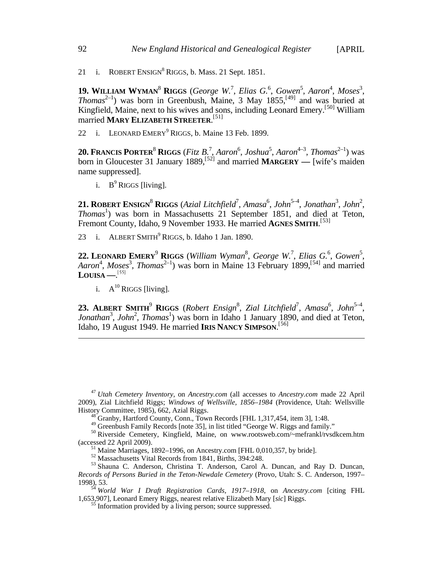21 i. ROBERT ENSIGN<sup>8</sup> RIGGS, b. Mass. 21 Sept. 1851.

**19.** WILLIAM WYMAN<sup>8</sup> RIGGS (*George W.<sup>7</sup>, Elias G.*<sup>6</sup>, *Gowen*<sup>5</sup>, *Aaron*<sup>4</sup>, *Moses*<sup>3</sup>, *Thomas*<sup>2-1</sup>) was born in Greenbush, Maine, 3 May 1855,<sup>[[49\]](#page-6-0)</sup> and was buried at Kingfield, Maine, next to his wives and sons, including Leonard Emery.<sup>[[50\]](#page-7-0)</sup> William married **MARY ELIZABETH STREETER**. [\[51\]](#page-7-1)

22 i. LEONARD EMERY<sup>9</sup> RIGGS, b. Maine 13 Feb. 1899.

**20. FRANCIS PORTER<sup>8</sup> RIGGS** (*Fitz B.<sup>7</sup>, Aaron*<sup>6</sup>, *Joshua*<sup>5</sup>, *Aaron*<sup>4-3</sup>, *Thomas*<sup>2-1</sup>) was born in Gloucester 31 January 1889,[[52](#page-7-2)] and married **MARGERY —** [wife's maiden name suppressed].

i.  $B^9$  RIGGS [living].

**21. ROBERT ENSIGN<sup>8</sup> RIGGS** (Azial Litchfield<sup>7</sup>, Amasa<sup>6</sup>, John<sup>5-4</sup>, Jonathan<sup>3</sup>, John<sup>2</sup>, Thomas<sup>1</sup>) was born in Massachusetts 21 September 1851, and died at Teton, Fremont County, Idaho, 9 November 1933. He married **AGNES SMITH**. [[53\]](#page-7-3)

23 i. ALBERT SMITH<sup>9</sup> RIGGS, b. Idaho 1 Jan. 1890.

**22. LEONARD EMERY**<sup>9</sup> **RIGGS** (*William Wyman* 8 , *George W.*<sup>7</sup> , *Elias G.*<sup>6</sup> , *Gowen* 5 , Aaron<sup>4</sup>, Moses<sup>3</sup>, Thomas<sup>2-1</sup>) was born in Maine 13 February 1899,<sup>[[54](#page-7-4)]</sup> and married **LOUISA —**. [[55\]](#page-7-5)

i.  $A^{10}$  RIGGS [living].

**23. ALBERT SMITH<sup>9</sup> RIGGS** (*Robert Ensign*<sup>8</sup>, *Zial Litchfield*<sup>7</sup>, *Amasa*<sup>6</sup>, *John*<sup>5-4</sup>, Jonathan<sup>3</sup>, John<sup>2</sup>, Thomas<sup>1</sup>) was born in Idaho 1 January 1890, and died at Teton, Idaho, 19 August 1949. He married **IRIS NANCY SIMPSON**. [[56](#page-7-1)]

 $\overline{a}$ 

<sup>47</sup> *Utah Cemetery Inventory*, on *Ancestry.com* (all accesses to *Ancestry.com* made 22 April 2009), Zial Litchfield Riggs; *Windows of Wellsville, 1856–1984* (Providence, Utah: Wellsville

<sup>&</sup>lt;sup>48</sup> Granby, Hartford County, Conn., Town Records [FHL 1,317,454, item 3], 1:48.<br><sup>49</sup> Greenbush Family Records [note 35], in list titled "George W. Riggs and family."

<span id="page-7-0"></span> $^{50}$  Riverside Cemetery, Kingfield, Maine, on www.rootsweb.com/~mefrankl/rvsdkcem.htm (accessed 22 April 2009).

<span id="page-7-3"></span><span id="page-7-2"></span><span id="page-7-1"></span><sup>&</sup>lt;sup>51</sup> Maine Marriages, 1892–1996, on Ancestry.com [FHL 0,010,357, by bride].<br><sup>52</sup> Massachusetts Vital Records from 1841, Births, 394:248.<br><sup>53</sup> Shauna C. Anderson, Christina T. Anderson, Carol A. Duncan, and Ray D. Duncan, *Records of Persons Buried in the Teton-Newdale Cemetery* (Provo, Utah: S. C. Anderson, 1997– 1998), 53.<br><sup>54</sup> *World War I Draft Registration Cards, 1917–1918*, on *Ancestry.com* [citing FHL

<span id="page-7-5"></span><span id="page-7-4"></span><sup>1,653,907],</sup> Leonard Emery Riggs, nearest relative Elizabeth Mary [*sic*] Riggs. <sup>55</sup> Information provided by a living person; source suppressed.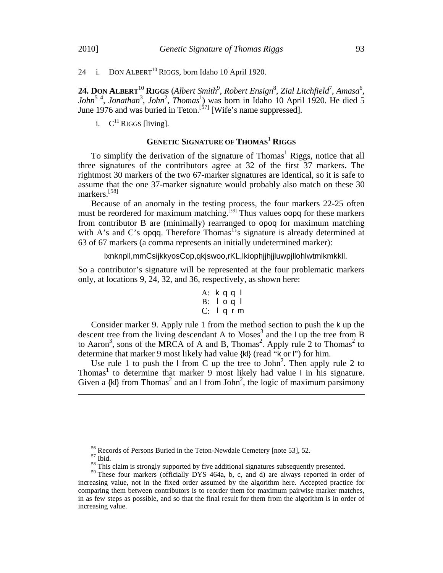24 i. DON ALBERT<sup>10</sup> RIGGS, born Idaho 10 April 1920.

24. DON ALBERT<sup>10</sup> RIGGS (Albert Smith<sup>9</sup>, Robert Ensign<sup>8</sup>, Zial Litchfield<sup>7</sup>, Amasa<sup>6</sup>, John<sup>5-4</sup>, Jonathan<sup>3</sup>, John<sup>2</sup>, Thomas<sup>1</sup>) was born in Idaho 10 April 1920. He died 5 June 1976 and was buried in Teton.<sup>[[57\]](#page-7-2)</sup> [Wife's name suppressed].

i.  $C^{11}$  RIGGS [living].

### **GENETIC SIGNATURE OF THOMAS**<sup>1</sup> **RIGGS**

To simplify the derivation of the signature of Thomas<sup>1</sup> Riggs, notice that all three signatures of the contributors agree at 32 of the first 37 markers. The rightmost 30 markers of the two 67-marker signatures are identical, so it is safe to assume that the one 37-marker signature would probably also match on these 30 markers.[[58\]](#page-8-0)

Because of an anomaly in the testing process, the four markers 22-25 often must be reordered for maximum matching.<sup>[[59](#page-8-1)]</sup> Thus values oopq for these markers from contributor B are (minimally) rearranged to opoq for maximum matching with A's and C's opqq. Therefore Thomas<sup>15</sup>s signature is already determined at 63 of 67 markers (a comma represents an initially undetermined marker):

lxnknpll,mmCsijkkyosCop,qkjswoo,rKL,lkiophjjhjjluwpjllohlwtmlkmkkll.

So a contributor's signature will be represented at the four problematic markers only, at locations 9, 24, 32, and 36, respectively, as shown here:

A: k q q l B: l o q l C: l q r m

Consider marker 9. Apply rule 1 from the method section to push the k up the descent tree from the living descendant A to Moses<sup>3</sup> and the  $\ln \ln \theta$  the tree from B to Aaron<sup>3</sup>, sons of the MRCA of A and B, Thomas<sup>2</sup>. Apply rule 2 to Thomas<sup>2</sup> to determine that marker 9 most likely had value {kl} (read "k or l") for him.

Use rule 1 to push the  $\vert$  from C up the tree to John<sup>2</sup>. Then apply rule 2 to Thomas<sup>1</sup> to determine that marker 9 most likely had value  $\frac{1}{1}$  in his signature. Given a  $\{kl\}$  from Thomas<sup>2</sup> and an I from John<sup>2</sup>, the logic of maximum parsimony

 $\overline{a}$ 

<span id="page-8-1"></span><span id="page-8-0"></span><sup>&</sup>lt;sup>56</sup> Records of Persons Buried in the Teton-Newdale Cemetery [note 53], 52.<br><sup>57</sup> Ibid.<br><sup>58</sup> This claim is strongly supported by five additional signatures subsequently presented.<br><sup>59</sup> These four markers (officially DYS 46 increasing value, not in the fixed order assumed by the algorithm here. Accepted practice for comparing them between contributors is to reorder them for maximum pairwise marker matches, in as few steps as possible, and so that the final result for them from the algorithm is in order of increasing value.